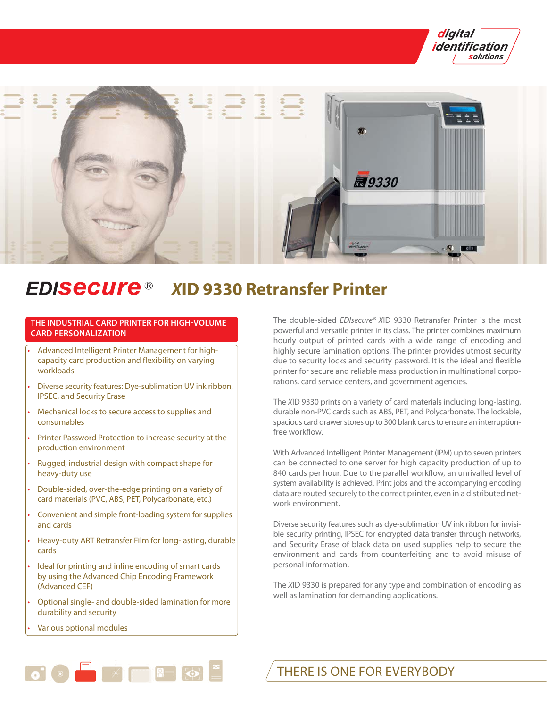



## **EDISECUre®** *X***ID 9330 Retransfer Printer**

# **THE INDUSTRIAL CARD PRINTER FOR HIGH-VOLUME CARD PERSONALIZATION**

- Advanced Intelligent Printer Management for highcapacity card production and flexibility on varying workloads
- Diverse security features: Dye-sublimation UV ink ribbon, IPSEC, and Security Erase
- Mechanical locks to secure access to supplies and consumables
- Printer Password Protection to increase security at the production environment
- Rugged, industrial design with compact shape for heavy-duty use
- Double-sided, over-the-edge printing on a variety of card materials (PVC, ABS, PET, Polycarbonate, etc.)
- Convenient and simple front-loading system for supplies and cards
- Heavy-duty ART Retransfer Film for long-lasting, durable cards
- Ideal for printing and inline encoding of smart cards by using the Advanced Chip Encoding Framework (Advanced CEF)
- Optional single- and double-sided lamination for more durability and security

 $\bullet$   $\bullet$   $\bullet$   $\bullet$   $\bullet$ 

• Various optional modules

The double-sided EDIsecure® XID 9330 Retransfer Printer is the most powerful and versatile printer in its class. The printer combines maximum hourly output of printed cards with a wide range of encoding and highly secure lamination options. The printer provides utmost security due to security locks and security password. It is the ideal and flexible printer for secure and reliable mass production in multinational corporations, card service centers, and government agencies.

The XID 9330 prints on a variety of card materials including long-lasting, durable non-PVC cards such as ABS, PET, and Polycarbonate. The lockable, spacious card drawer stores up to 300 blank cards to ensure an interruptionfree workflow.

With Advanced Intelligent Printer Management (IPM) up to seven printers can be connected to one server for high capacity production of up to 840 cards per hour. Due to the parallel workflow, an unrivalled level of system availability is achieved. Print jobs and the accompanying encoding data are routed securely to the correct printer, even in a distributed network environment.

Diverse security features such as dye-sublimation UV ink ribbon for invisible security printing, IPSEC for encrypted data transfer through networks, and Security Erase of black data on used supplies help to secure the environment and cards from counterfeiting and to avoid misuse of personal information.

The XID 9330 is prepared for any type and combination of encoding as well as lamination for demanding applications.

THERE IS ONE FOR EVERYBODY